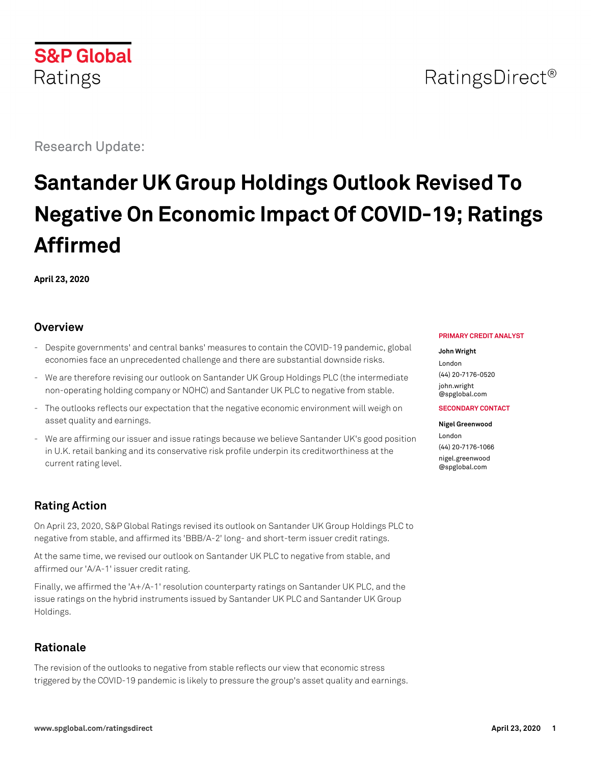Research Update:

**S&P Global** 

Ratings

# **Santander UK Group Holdings Outlook Revised To Negative On Economic Impact Of COVID-19; Ratings Affirmed**

**April 23, 2020**

# **Overview**

- Despite governments' and central banks' measures to contain the COVID-19 pandemic, global economies face an unprecedented challenge and there are substantial downside risks.
- We are therefore revising our outlook on Santander UK Group Holdings PLC (the intermediate non-operating holding company or NOHC) and Santander UK PLC to negative from stable.
- The outlooks reflects our expectation that the negative economic environment will weigh on asset quality and earnings.
- We are affirming our issuer and issue ratings because we believe Santander UK's good position in U.K. retail banking and its conservative risk profile underpin its creditworthiness at the current rating level.

# **Rating Action**

On April 23, 2020, S&P Global Ratings revised its outlook on Santander UK Group Holdings PLC to negative from stable, and affirmed its 'BBB/A-2' long- and short-term issuer credit ratings.

At the same time, we revised our outlook on Santander UK PLC to negative from stable, and affirmed our 'A/A-1' issuer credit rating.

Finally, we affirmed the 'A+/A-1' resolution counterparty ratings on Santander UK PLC, and the issue ratings on the hybrid instruments issued by Santander UK PLC and Santander UK Group Holdings.

# **Rationale**

The revision of the outlooks to negative from stable reflects our view that economic stress triggered by the COVID-19 pandemic is likely to pressure the group's asset quality and earnings.

#### **PRIMARY CREDIT ANALYST**

RatingsDirect<sup>®</sup>

#### **John Wright**

London (44) 20-7176-0520 [john.wright](mailto:john.wright@spglobal.com) [@spglobal.com](mailto:john.wright@spglobal.com)

#### **SECONDARY CONTACT**

**Nigel Greenwood** London (44) 20-7176-1066 [nigel.greenwood](mailto:nigel.greenwood@spglobal.com) [@spglobal.com](mailto:nigel.greenwood@spglobal.com)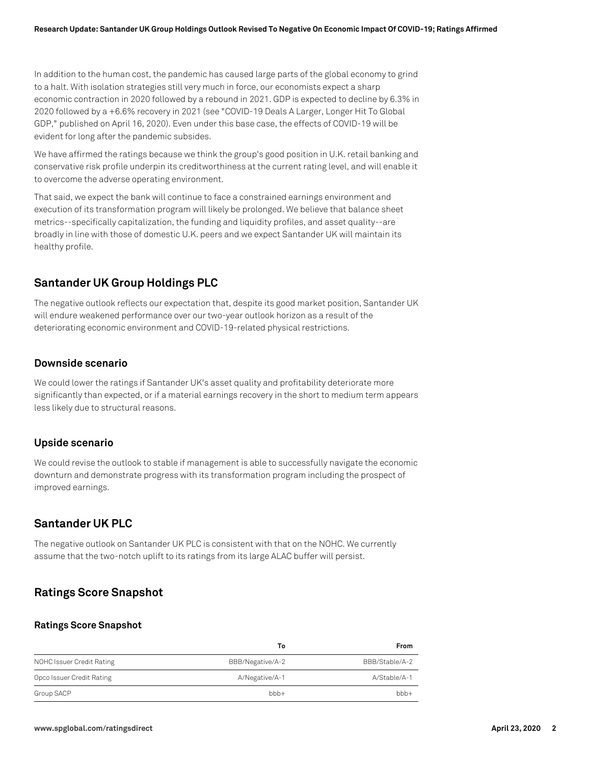In addition to the human cost, the pandemic has caused large parts of the global economy to grind to a halt. With isolation strategies still very much in force, our economists expect a sharp economic contraction in 2020 followed by a rebound in 2021. GDP is expected to decline by 6.3% in 2020 followed by a +6.6% recovery in 2021 (see "COVID-19 Deals A Larger, Longer Hit To Global GDP," published on April 16, 2020). Even under this base case, the effects of COVID-19 will be evident for long after the pandemic subsides.

We have affirmed the ratings because we think the group's good position in U.K. retail banking and conservative risk profile underpin its creditworthiness at the current rating level, and will enable it to overcome the adverse operating environment.

That said, we expect the bank will continue to face a constrained earnings environment and execution of its transformation program will likely be prolonged. We believe that balance sheet metrics--specifically capitalization, the funding and liquidity profiles, and asset quality--are broadly in line with those of domestic U.K. peers and we expect Santander UK will maintain its healthy profile.

# **Santander UK Group Holdings PLC**

The negative outlook reflects our expectation that, despite its good market position, Santander UK will endure weakened performance over our two-year outlook horizon as a result of the deteriorating economic environment and COVID-19-related physical restrictions.

### **Downside scenario**

We could lower the ratings if Santander UK's asset quality and profitability deteriorate more significantly than expected, or if a material earnings recovery in the short to medium term appears less likely due to structural reasons.

### **Upside scenario**

We could revise the outlook to stable if management is able to successfully navigate the economic downturn and demonstrate progress with its transformation program including the prospect of improved earnings.

# **Santander UK PLC**

The negative outlook on Santander UK PLC is consistent with that on the NOHC. We currently assume that the two-notch uplift to its ratings from its large ALAC buffer will persist.

# **Ratings Score Snapshot**

#### **Ratings Score Snapshot**

|                           | Т٥               | From           |
|---------------------------|------------------|----------------|
| NOHC Issuer Credit Rating | BBB/Negative/A-2 | BBB/Stable/A-2 |
| Opco Issuer Credit Rating | A/Negative/A-1   | A/Stable/A-1   |
| Group SACP                | $bbb +$          | $bbb +$        |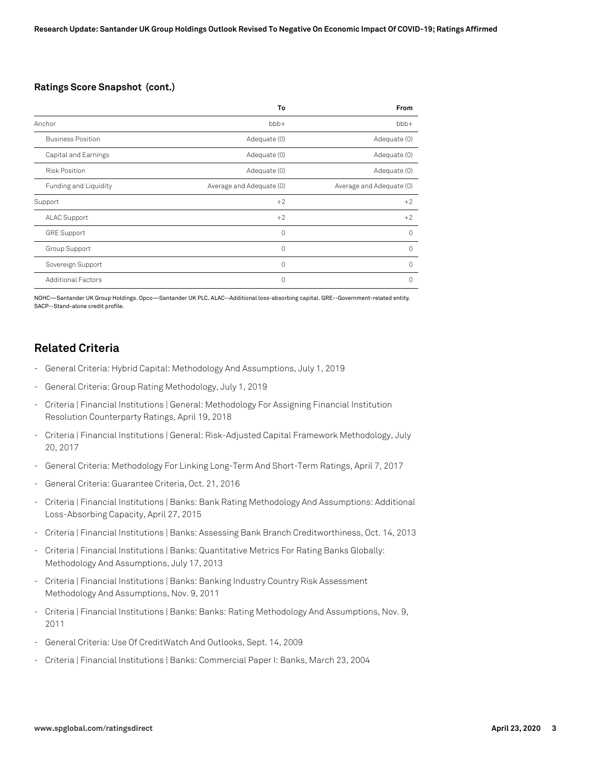#### **Ratings Score Snapshot (cont.)**

|                           | To                       | From                     |
|---------------------------|--------------------------|--------------------------|
| Anchor                    | $bbb+$                   | $bbb+$                   |
| <b>Business Position</b>  | Adequate (0)             | Adequate (0)             |
| Capital and Earnings      | Adequate (0)             | Adequate (0)             |
| <b>Risk Position</b>      | Adequate (0)             | Adequate (0)             |
| Funding and Liquidity     | Average and Adequate (0) | Average and Adequate (0) |
| Support                   | $+2$                     | $+2$                     |
| <b>ALAC Support</b>       | $+2$                     | $+2$                     |
| <b>GRE Support</b>        | $\Omega$                 | $\Omega$                 |
| Group Support             | $\Omega$                 | $\Omega$                 |
| Sovereign Support         | 0                        | $\Omega$                 |
| <b>Additional Factors</b> | $\Omega$                 | $\Omega$                 |

NOHC—Santander UK Group Holdings. Opco—Santander UK PLC. ALAC--Additional loss-absorbing capital. GRE--Government-related entity. SACP--Stand-alone credit profile.

# **Related Criteria**

- General Criteria: Hybrid Capital: Methodology And Assumptions, July 1, 2019
- General Criteria: Group Rating Methodology, July 1, 2019
- Criteria | Financial Institutions | General: Methodology For Assigning Financial Institution Resolution Counterparty Ratings, April 19, 2018
- Criteria | Financial Institutions | General: Risk-Adjusted Capital Framework Methodology, July 20, 2017
- General Criteria: Methodology For Linking Long-Term And Short-Term Ratings, April 7, 2017
- General Criteria: Guarantee Criteria, Oct. 21, 2016
- Criteria | Financial Institutions | Banks: Bank Rating Methodology And Assumptions: Additional Loss-Absorbing Capacity, April 27, 2015
- Criteria | Financial Institutions | Banks: Assessing Bank Branch Creditworthiness, Oct. 14, 2013
- Criteria | Financial Institutions | Banks: Quantitative Metrics For Rating Banks Globally: Methodology And Assumptions, July 17, 2013
- Criteria | Financial Institutions | Banks: Banking Industry Country Risk Assessment Methodology And Assumptions, Nov. 9, 2011
- Criteria | Financial Institutions | Banks: Banks: Rating Methodology And Assumptions, Nov. 9, 2011
- General Criteria: Use Of CreditWatch And Outlooks, Sept. 14, 2009
- Criteria | Financial Institutions | Banks: Commercial Paper I: Banks, March 23, 2004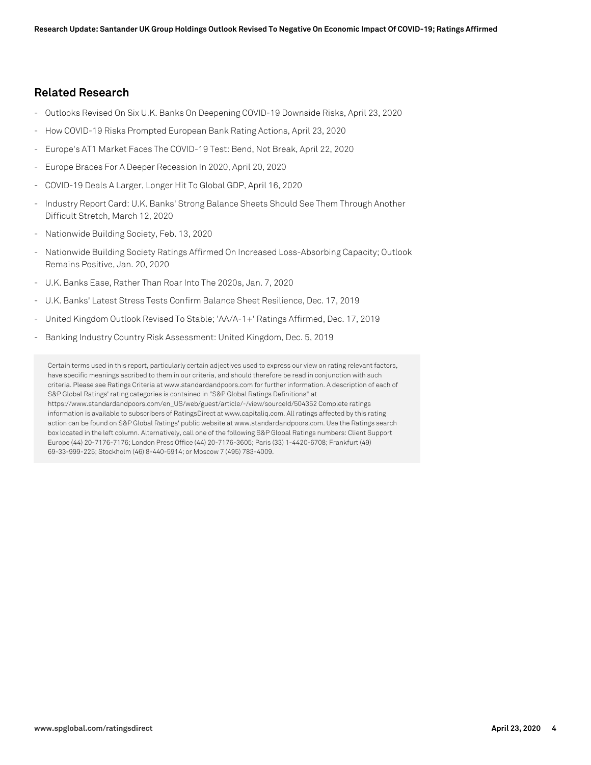### **Related Research**

- Outlooks Revised On Six U.K. Banks On Deepening COVID-19 Downside Risks, April 23, 2020
- How COVID-19 Risks Prompted European Bank Rating Actions, April 23, 2020
- Europe's AT1 Market Faces The COVID-19 Test: Bend, Not Break, April 22, 2020
- Europe Braces For A Deeper Recession In 2020, April 20, 2020
- COVID-19 Deals A Larger, Longer Hit To Global GDP, April 16, 2020
- Industry Report Card: U.K. Banks' Strong Balance Sheets Should See Them Through Another Difficult Stretch, March 12, 2020
- Nationwide Building Society, Feb. 13, 2020
- Nationwide Building Society Ratings Affirmed On Increased Loss-Absorbing Capacity; Outlook Remains Positive, Jan. 20, 2020
- U.K. Banks Ease, Rather Than Roar Into The 2020s, Jan. 7, 2020
- U.K. Banks' Latest Stress Tests Confirm Balance Sheet Resilience, Dec. 17, 2019
- United Kingdom Outlook Revised To Stable; 'AA/A-1+' Ratings Affirmed, Dec. 17, 2019
- Banking Industry Country Risk Assessment: United Kingdom, Dec. 5, 2019

Certain terms used in this report, particularly certain adjectives used to express our view on rating relevant factors, have specific meanings ascribed to them in our criteria, and should therefore be read in conjunction with such criteria. Please see Ratings Criteria at www.standardandpoors.com for further information. A description of each of S&P Global Ratings' rating categories is contained in "S&P Global Ratings Definitions" at https://www.standardandpoors.com/en\_US/web/guest/article/-/view/sourceId/504352 Complete ratings information is available to subscribers of RatingsDirect at www.capitaliq.com. All ratings affected by this rating action can be found on S&P Global Ratings' public website at www.standardandpoors.com. Use the Ratings search box located in the left column. Alternatively, call one of the following S&P Global Ratings numbers: Client Support Europe (44) 20-7176-7176; London Press Office (44) 20-7176-3605; Paris (33) 1-4420-6708; Frankfurt (49) 69-33-999-225; Stockholm (46) 8-440-5914; or Moscow 7 (495) 783-4009.